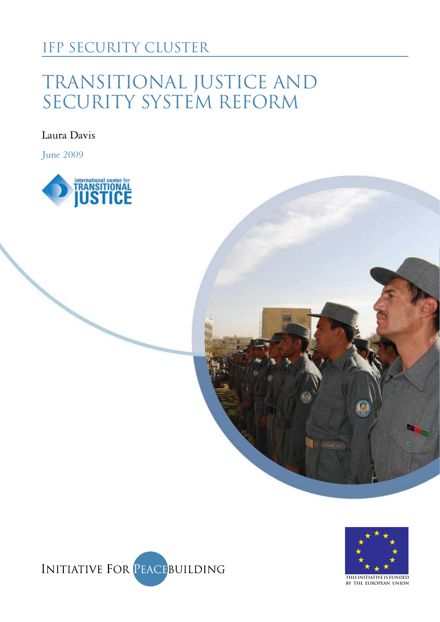### IFP SECURITY CLUSTER

# Transitional Justice and SECURITY SYSTEM REFORM

Laura Davis

June 2009







Pic to come

**This initiative is funded by the European Union**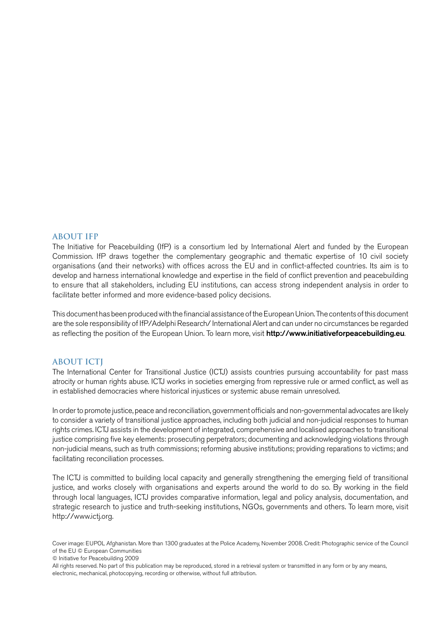#### **About IfP**

The Initiative for Peacebuilding (IfP) is a consortium led by International Alert and funded by the European Commission. IfP draws together the complementary geographic and thematic expertise of 10 civil society organisations (and their networks) with offices across the EU and in conflict-affected countries. Its aim is to develop and harness international knowledge and expertise in the field of conflict prevention and peacebuilding to ensure that all stakeholders, including EU institutions, can access strong independent analysis in order to facilitate better informed and more evidence-based policy decisions.

This document has been produced with the financial assistance of the European Union. The contents of this document are the sole responsibility of IfP/Adelphi Research/ International Alert and can under no circumstances be regarded as reflecting the position of the European Union. To learn more, visit http://www.initiativeforpeacebuilding.eu.

#### **About ICTJ**

The International Center for Transitional Justice (ICTJ) assists countries pursuing accountability for past mass atrocity or human rights abuse. ICTJ works in societies emerging from repressive rule or armed conflict, as well as in established democracies where historical injustices or systemic abuse remain unresolved.

In order to promote justice, peace and reconciliation, government officials and non-governmental advocates are likely to consider a variety of transitional justice approaches, including both judicial and non-judicial responses to human rights crimes. ICTJ assists in the development of integrated, comprehensive and localised approaches to transitional justice comprising five key elements: prosecuting perpetrators; documenting and acknowledging violations through non-judicial means, such as truth commissions; reforming abusive institutions; providing reparations to victims; and facilitating reconciliation processes.

The ICTJ is committed to building local capacity and generally strengthening the emerging field of transitional justice, and works closely with organisations and experts around the world to do so. By working in the field through local languages, ICTJ provides comparative information, legal and policy analysis, documentation, and strategic research to justice and truth-seeking institutions, NGOs, governments and others. To learn more, visit http://www.ictj.org.

© Initiative for Peacebuilding 2009

Cover image: EUPOL Afghanistan. More than 1300 graduates at the Police Academy, November 2008. Credit: Photographic service of the Council of the EU © European Communities

All rights reserved. No part of this publication may be reproduced, stored in a retrieval system or transmitted in any form or by any means, electronic, mechanical, photocopying, recording or otherwise, without full attribution.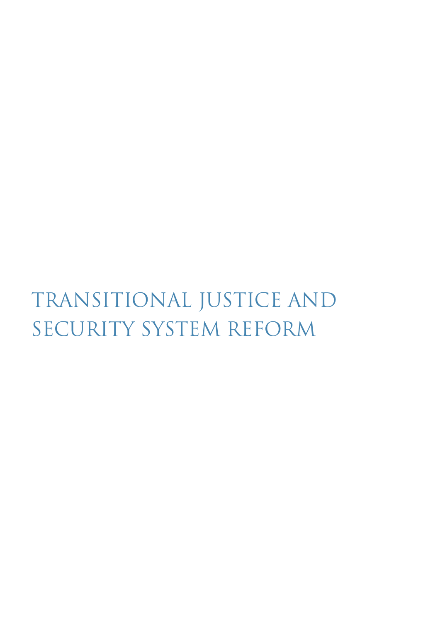# Transitional Justice and SECURITY SYSTEM REFORM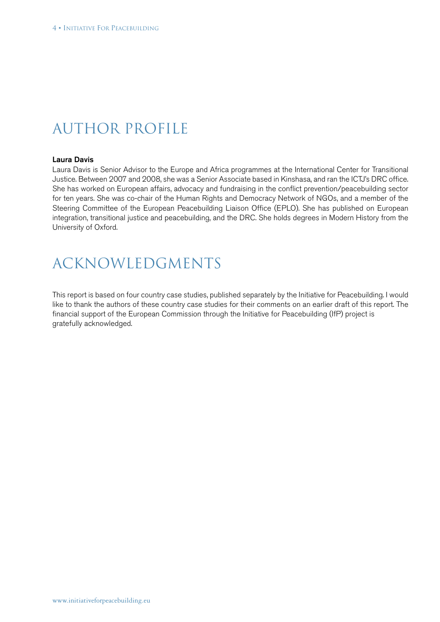### Author profile

#### Laura Davis

Laura Davis is Senior Advisor to the Europe and Africa programmes at the International Center for Transitional Justice. Between 2007 and 2008, she was a Senior Associate based in Kinshasa, and ran the ICTJ's DRC office. She has worked on European affairs, advocacy and fundraising in the conflict prevention/peacebuilding sector for ten years. She was co-chair of the Human Rights and Democracy Network of NGOs, and a member of the Steering Committee of the European Peacebuilding Liaison Office (EPLO). She has published on European integration, transitional justice and peacebuilding, and the DRC. She holds degrees in Modern History from the University of Oxford.

### Acknowledgments

This report is based on four country case studies, published separately by the Initiative for Peacebuilding. I would like to thank the authors of these country case studies for their comments on an earlier draft of this report. The financial support of the European Commission through the Initiative for Peacebuilding (IfP) project is gratefully acknowledged.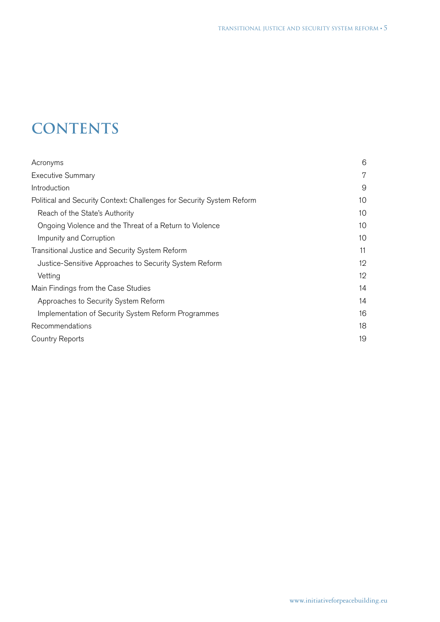# **CONTENTS**

| Acronyms                                                              | 6  |
|-----------------------------------------------------------------------|----|
| <b>Executive Summary</b>                                              | 7  |
| Introduction                                                          | 9  |
| Political and Security Context: Challenges for Security System Reform | 10 |
| Reach of the State's Authority                                        | 10 |
| Ongoing Violence and the Threat of a Return to Violence               | 10 |
| Impunity and Corruption                                               | 10 |
| Transitional Justice and Security System Reform                       | 11 |
| Justice-Sensitive Approaches to Security System Reform                | 12 |
| Vetting                                                               | 12 |
| Main Findings from the Case Studies                                   | 14 |
| Approaches to Security System Reform                                  | 14 |
| Implementation of Security System Reform Programmes                   | 16 |
| Recommendations                                                       | 18 |
| Country Reports                                                       | 19 |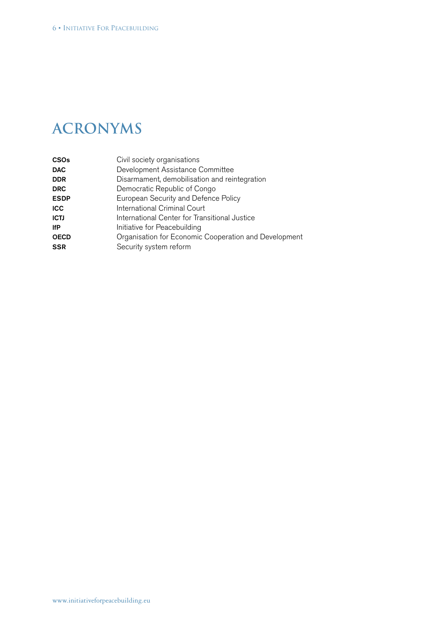### **Acronyms**

| <b>CSOs</b> | Civil society organisations                           |
|-------------|-------------------------------------------------------|
| <b>DAC</b>  | Development Assistance Committee                      |
| <b>DDR</b>  | Disarmament, demobilisation and reintegration         |
| <b>DRC</b>  | Democratic Republic of Congo                          |
| <b>ESDP</b> | European Security and Defence Policy                  |
| <b>ICC</b>  | International Criminal Court                          |
| <b>ICTJ</b> | International Center for Transitional Justice         |
| <b>IfP</b>  | Initiative for Peacebuilding                          |
| <b>OECD</b> | Organisation for Economic Cooperation and Development |
| <b>SSR</b>  | Security system reform                                |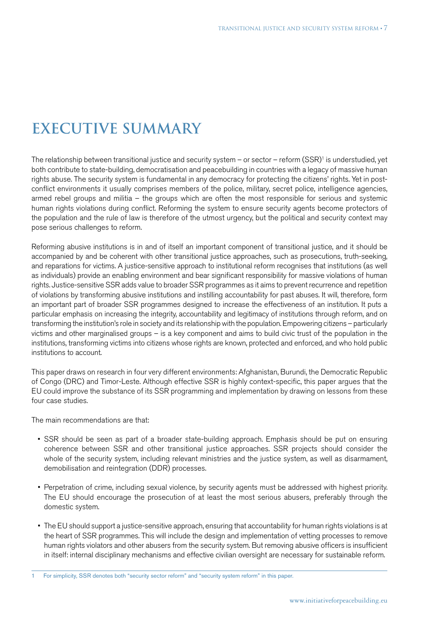# **Executive Summary**

The relationship between transitional justice and security system – or sector – reform  $(SSR)^1$  is understudied, yet both contribute to state-building, democratisation and peacebuilding in countries with a legacy of massive human rights abuse. The security system is fundamental in any democracy for protecting the citizens' rights. Yet in postconflict environments it usually comprises members of the police, military, secret police, intelligence agencies, armed rebel groups and militia – the groups which are often the most responsible for serious and systemic human rights violations during conflict. Reforming the system to ensure security agents become protectors of the population and the rule of law is therefore of the utmost urgency, but the political and security context may pose serious challenges to reform.

Reforming abusive institutions is in and of itself an important component of transitional justice, and it should be accompanied by and be coherent with other transitional justice approaches, such as prosecutions, truth-seeking, and reparations for victims. A justice-sensitive approach to institutional reform recognises that institutions (as well as individuals) provide an enabling environment and bear significant responsibility for massive violations of human rights. Justice-sensitive SSR adds value to broader SSR programmes as it aims to prevent recurrence and repetition of violations by transforming abusive institutions and instilling accountability for past abuses. It will, therefore, form an important part of broader SSR programmes designed to increase the effectiveness of an institution. It puts a particular emphasis on increasing the integrity, accountability and legitimacy of institutions through reform, and on transforming the institution's role in society and its relationship with the population. Empowering citizens – particularly victims and other marginalised groups – is a key component and aims to build civic trust of the population in the institutions, transforming victims into citizens whose rights are known, protected and enforced, and who hold public institutions to account.

This paper draws on research in four very different environments: Afghanistan, Burundi, the Democratic Republic of Congo (DRC) and Timor-Leste. Although effective SSR is highly context-specific, this paper argues that the EU could improve the substance of its SSR programming and implementation by drawing on lessons from these four case studies.

The main recommendations are that:

- • SSR should be seen as part of a broader state-building approach. Emphasis should be put on ensuring coherence between SSR and other transitional justice approaches. SSR projects should consider the whole of the security system, including relevant ministries and the justice system, as well as disarmament, demobilisation and reintegration (DDR) processes.
- Perpetration of crime, including sexual violence, by security agents must be addressed with highest priority. The EU should encourage the prosecution of at least the most serious abusers, preferably through the domestic system.
- The EU should support a justice-sensitive approach, ensuring that accountability for human rights violations is at the heart of SSR programmes. This will include the design and implementation of vetting processes to remove human rights violators and other abusers from the security system. But removing abusive officers is insufficient in itself: internal disciplinary mechanisms and effective civilian oversight are necessary for sustainable reform.

1 For simplicity, SSR denotes both "security sector reform" and "security system reform" in this paper.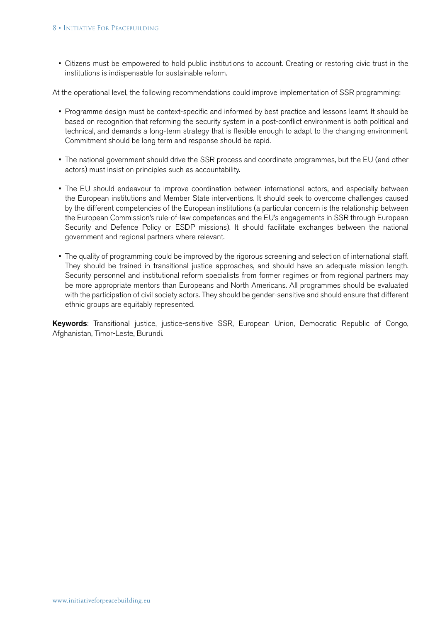• Citizens must be empowered to hold public institutions to account. Creating or restoring civic trust in the institutions is indispensable for sustainable reform.

At the operational level, the following recommendations could improve implementation of SSR programming:

- Programme design must be context-specific and informed by best practice and lessons learnt. It should be based on recognition that reforming the security system in a post-conflict environment is both political and technical, and demands a long-term strategy that is flexible enough to adapt to the changing environment. Commitment should be long term and response should be rapid.
- The national government should drive the SSR process and coordinate programmes, but the EU (and other actors) must insist on principles such as accountability.
- The EU should endeavour to improve coordination between international actors, and especially between the European institutions and Member State interventions. It should seek to overcome challenges caused by the different competencies of the European institutions (a particular concern is the relationship between the European Commission's rule-of-law competences and the EU's engagements in SSR through European Security and Defence Policy or ESDP missions). It should facilitate exchanges between the national government and regional partners where relevant.
- The quality of programming could be improved by the rigorous screening and selection of international staff. They should be trained in transitional justice approaches, and should have an adequate mission length. Security personnel and institutional reform specialists from former regimes or from regional partners may be more appropriate mentors than Europeans and North Americans. All programmes should be evaluated with the participation of civil society actors. They should be gender-sensitive and should ensure that different ethnic groups are equitably represented.

Keywords: Transitional justice, justice-sensitive SSR, European Union, Democratic Republic of Congo, Afghanistan, Timor-Leste, Burundi.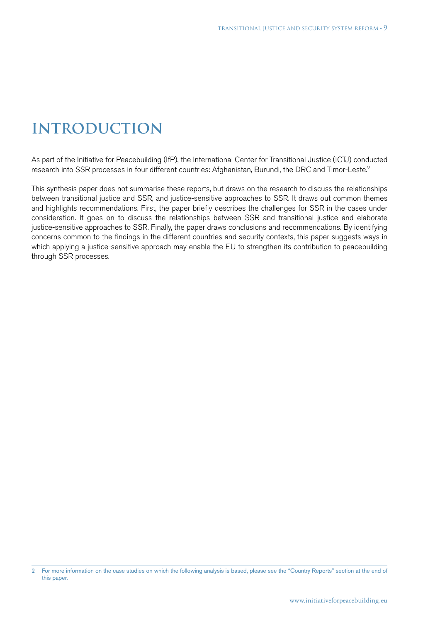# **Introduction**

As part of the Initiative for Peacebuilding (IfP), the International Center for Transitional Justice (ICTJ) conducted research into SSR processes in four different countries: Afghanistan, Burundi, the DRC and Timor-Leste.2

This synthesis paper does not summarise these reports, but draws on the research to discuss the relationships between transitional justice and SSR, and justice-sensitive approaches to SSR. It draws out common themes and highlights recommendations. First, the paper briefly describes the challenges for SSR in the cases under consideration. It goes on to discuss the relationships between SSR and transitional justice and elaborate justice-sensitive approaches to SSR. Finally, the paper draws conclusions and recommendations. By identifying concerns common to the findings in the different countries and security contexts, this paper suggests ways in which applying a justice-sensitive approach may enable the EU to strengthen its contribution to peacebuilding through SSR processes.

<sup>2</sup> For more information on the case studies on which the following analysis is based, please see the "Country Reports" section at the end of this paper.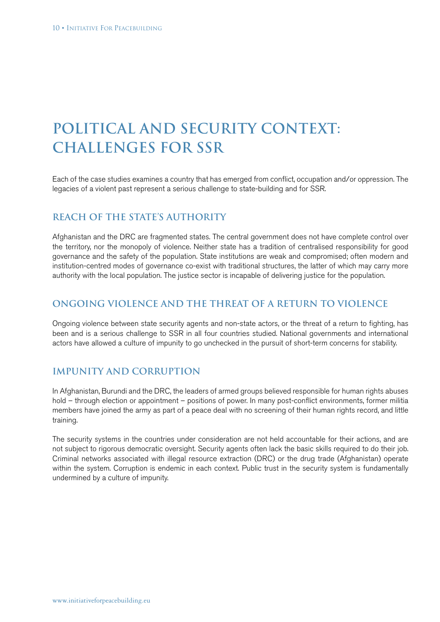# **Political and Security Context: Challenges for SSR**

Each of the case studies examines a country that has emerged from conflict, occupation and/or oppression. The legacies of a violent past represent a serious challenge to state-building and for SSR.

### **Reach of the State's Authority**

Afghanistan and the DRC are fragmented states. The central government does not have complete control over the territory, nor the monopoly of violence. Neither state has a tradition of centralised responsibility for good governance and the safety of the population. State institutions are weak and compromised; often modern and institution-centred modes of governance co-exist with traditional structures, the latter of which may carry more authority with the local population. The justice sector is incapable of delivering justice for the population.

### **Ongoing Violence and the Threat of a Return to Violence**

Ongoing violence between state security agents and non-state actors, or the threat of a return to fighting, has been and is a serious challenge to SSR in all four countries studied. National governments and international actors have allowed a culture of impunity to go unchecked in the pursuit of short-term concerns for stability.

### **Impunity and Corruption**

In Afghanistan, Burundi and the DRC, the leaders of armed groups believed responsible for human rights abuses hold – through election or appointment – positions of power. In many post-conflict environments, former militia members have joined the army as part of a peace deal with no screening of their human rights record, and little training.

The security systems in the countries under consideration are not held accountable for their actions, and are not subject to rigorous democratic oversight. Security agents often lack the basic skills required to do their job. Criminal networks associated with illegal resource extraction (DRC) or the drug trade (Afghanistan) operate within the system. Corruption is endemic in each context. Public trust in the security system is fundamentally undermined by a culture of impunity.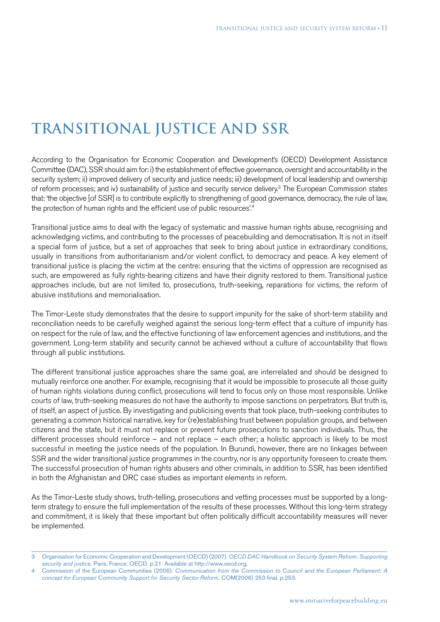# **Transitional Justice and SSR**

According to the Organisation for Economic Cooperation and Development's (OECD) Development Assistance Committee (DAC), SSR should aim for: i) the establishment of effective governance, oversight and accountability in the security system; ii) improved delivery of security and justice needs; iii) development of local leadership and ownership of reform processes; and iv) sustainability of justice and security service delivery.<sup>3</sup> The European Commission states that: 'the objective [of SSR] is to contribute explicitly to strengthening of good governance, democracy, the rule of law, the protection of human rights and the efficient use of public resources'.<sup>4</sup>

Transitional justice aims to deal with the legacy of systematic and massive human rights abuse, recognising and acknowledging victims, and contributing to the processes of peacebuilding and democratisation. It is not in itself a special form of justice, but a set of approaches that seek to bring about justice in extraordinary conditions, usually in transitions from authoritarianism and/or violent conflict, to democracy and peace. A key element of transitional justice is placing the victim at the centre: ensuring that the victims of oppression are recognised as such, are empowered as fully rights-bearing citizens and have their dignity restored to them. Transitional justice approaches include, but are not limited to, prosecutions, truth-seeking, reparations for victims, the reform of abusive institutions and memorialisation.

The Timor-Leste study demonstrates that the desire to support impunity for the sake of short-term stability and reconciliation needs to be carefully weighed against the serious long-term effect that a culture of impunity has on respect for the rule of law, and the effective functioning of law enforcement agencies and institutions, and the government. Long-term stability and security cannot be achieved without a culture of accountability that flows through all public institutions.

The different transitional justice approaches share the same goal, are interrelated and should be designed to mutually reinforce one another. For example, recognising that it would be impossible to prosecute all those guilty of human rights violations during conflict, prosecutions will tend to focus only on those most responsible. Unlike courts of law, truth-seeking measures do not have the authority to impose sanctions on perpetrators. But truth is, of itself, an aspect of justice. By investigating and publicising events that took place, truth-seeking contributes to generating a common historical narrative, key for (re)establishing trust between population groups, and between citizens and the state, but it must not replace or prevent future prosecutions to sanction individuals. Thus, the different processes should reinforce – and not replace – each other; a holistic approach is likely to be most successful in meeting the justice needs of the population. In Burundi, however, there are no linkages between SSR and the wider transitional justice programmes in the country, nor is any opportunity foreseen to create them. The successful prosecution of human rights abusers and other criminals, in addition to SSR, has been identified in both the Afghanistan and DRC case studies as important elements in reform.

As the Timor-Leste study shows, truth-telling, prosecutions and vetting processes must be supported by a longterm strategy to ensure the full implementation of the results of these processes. Without this long-term strategy and commitment, it is likely that these important but often politically difficult accountability measures will never be implemented.

<sup>3</sup> Organisation for Economic Cooperation and Development (OECD) (2007). *OECD DAC Handbook on Security System Reform: Supporting security and justice*. Paris, France: OECD. p.21. Available at http://www.oecd.org.

<sup>4</sup> Commission of the European Communities (2006). *Communication from the Commission to Council and the European Parliament: A concept for European Community Support for Security Sector Reform*, COM(2006) 253 final. p.253.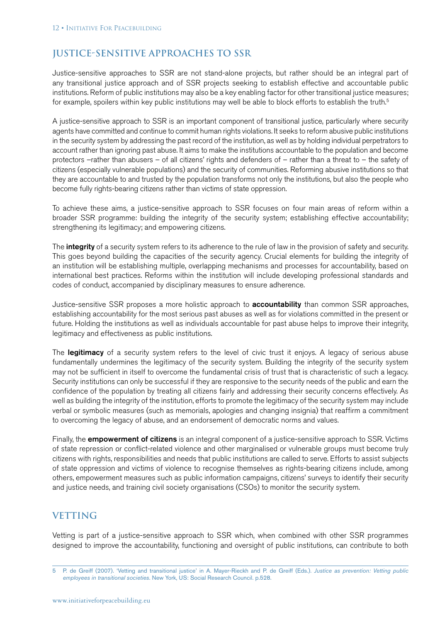### **Justice-Sensitive Approaches to SSR**

Justice-sensitive approaches to SSR are not stand-alone projects, but rather should be an integral part of any transitional justice approach and of SSR projects seeking to establish effective and accountable public institutions. Reform of public institutions may also be a key enabling factor for other transitional justice measures; for example, spoilers within key public institutions may well be able to block efforts to establish the truth.<sup>5</sup>

A justice-sensitive approach to SSR is an important component of transitional justice, particularly where security agents have committed and continue to commit human rights violations. It seeks to reform abusive public institutions in the security system by addressing the past record of the institution, as well as by holding individual perpetrators to account rather than ignoring past abuse. It aims to make the institutions accountable to the population and become protectors –rather than abusers – of all citizens' rights and defenders of – rather than a threat to – the safety of citizens (especially vulnerable populations) and the security of communities. Reforming abusive institutions so that they are accountable to and trusted by the population transforms not only the institutions, but also the people who become fully rights-bearing citizens rather than victims of state oppression.

To achieve these aims, a justice-sensitive approach to SSR focuses on four main areas of reform within a broader SSR programme: building the integrity of the security system; establishing effective accountability; strengthening its legitimacy; and empowering citizens.

The **integrity** of a security system refers to its adherence to the rule of law in the provision of safety and security. This goes beyond building the capacities of the security agency. Crucial elements for building the integrity of an institution will be establishing multiple, overlapping mechanisms and processes for accountability, based on international best practices. Reforms within the institution will include developing professional standards and codes of conduct, accompanied by disciplinary measures to ensure adherence.

Justice-sensitive SSR proposes a more holistic approach to **accountability** than common SSR approaches, establishing accountability for the most serious past abuses as well as for violations committed in the present or future. Holding the institutions as well as individuals accountable for past abuse helps to improve their integrity, legitimacy and effectiveness as public institutions.

The legitimacy of a security system refers to the level of civic trust it enjoys. A legacy of serious abuse fundamentally undermines the legitimacy of the security system. Building the integrity of the security system may not be sufficient in itself to overcome the fundamental crisis of trust that is characteristic of such a legacy. Security institutions can only be successful if they are responsive to the security needs of the public and earn the confidence of the population by treating all citizens fairly and addressing their security concerns effectively. As well as building the integrity of the institution, efforts to promote the legitimacy of the security system may include verbal or symbolic measures (such as memorials, apologies and changing insignia) that reaffirm a commitment to overcoming the legacy of abuse, and an endorsement of democratic norms and values.

Finally, the **empowerment of citizens** is an integral component of a justice-sensitive approach to SSR. Victims of state repression or conflict-related violence and other marginalised or vulnerable groups must become truly citizens with rights, responsibilities and needs that public institutions are called to serve. Efforts to assist subjects of state oppression and victims of violence to recognise themselves as rights-bearing citizens include, among others, empowerment measures such as public information campaigns, citizens' surveys to identify their security and justice needs, and training civil society organisations (CSOs) to monitor the security system.

### **VETTING**

Vetting is part of a justice-sensitive approach to SSR which, when combined with other SSR programmes designed to improve the accountability, functioning and oversight of public institutions, can contribute to both

<sup>5</sup> P. de Greiff (2007). 'Vetting and transitional justice' in A. Mayer-Rieckh and P. de Greiff (Eds.). *Justice as prevention: Vetting public employees in transitional societies*. New York, US: Social Research Council. p.528.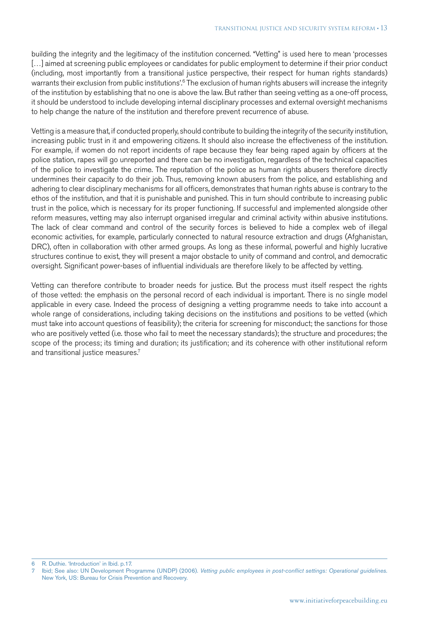building the integrity and the legitimacy of the institution concerned. "Vetting" is used here to mean 'processes [...] aimed at screening public employees or candidates for public employment to determine if their prior conduct (including, most importantly from a transitional justice perspective, their respect for human rights standards) warrants their exclusion from public institutions'.<sup>6</sup> The exclusion of human rights abusers will increase the integrity of the institution by establishing that no one is above the law. But rather than seeing vetting as a one-off process, it should be understood to include developing internal disciplinary processes and external oversight mechanisms to help change the nature of the institution and therefore prevent recurrence of abuse.

Vetting is a measure that, if conducted properly, should contribute to building the integrity of the security institution, increasing public trust in it and empowering citizens. It should also increase the effectiveness of the institution. For example, if women do not report incidents of rape because they fear being raped again by officers at the police station, rapes will go unreported and there can be no investigation, regardless of the technical capacities of the police to investigate the crime. The reputation of the police as human rights abusers therefore directly undermines their capacity to do their job. Thus, removing known abusers from the police, and establishing and adhering to clear disciplinary mechanisms for all officers, demonstrates that human rights abuse is contrary to the ethos of the institution, and that it is punishable and punished. This in turn should contribute to increasing public trust in the police, which is necessary for its proper functioning. If successful and implemented alongside other reform measures, vetting may also interrupt organised irregular and criminal activity within abusive institutions. The lack of clear command and control of the security forces is believed to hide a complex web of illegal economic activities, for example, particularly connected to natural resource extraction and drugs (Afghanistan, DRC), often in collaboration with other armed groups. As long as these informal, powerful and highly lucrative structures continue to exist, they will present a major obstacle to unity of command and control, and democratic oversight. Significant power-bases of influential individuals are therefore likely to be affected by vetting.

Vetting can therefore contribute to broader needs for justice. But the process must itself respect the rights of those vetted: the emphasis on the personal record of each individual is important. There is no single model applicable in every case. Indeed the process of designing a vetting programme needs to take into account a whole range of considerations, including taking decisions on the institutions and positions to be vetted (which must take into account questions of feasibility); the criteria for screening for misconduct; the sanctions for those who are positively vetted (i.e. those who fail to meet the necessary standards); the structure and procedures; the scope of the process; its timing and duration; its justification; and its coherence with other institutional reform and transitional justice measures.<sup>7</sup>

6 R. Duthie. 'Introduction' in Ibid. p.17.

<sup>7</sup> Ibid; See also: UN Development Programme (UNDP) (2006). *Vetting public employees in post-conflict settings: Operational guidelines.*  New York, US: Bureau for Crisis Prevention and Recovery.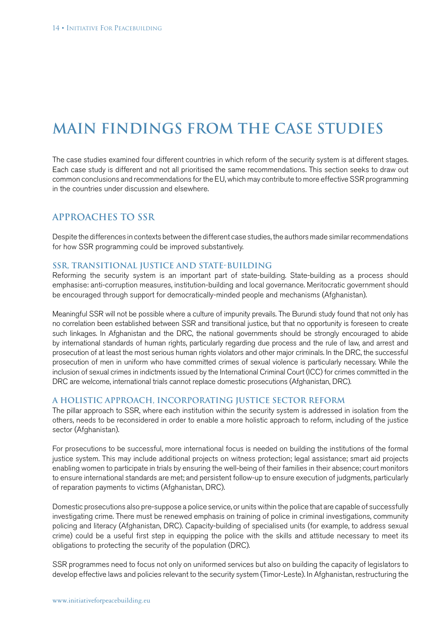# **Main Findings from the Case Studies**

The case studies examined four different countries in which reform of the security system is at different stages. Each case study is different and not all prioritised the same recommendations. This section seeks to draw out common conclusions and recommendations for the EU, which may contribute to more effective SSR programming in the countries under discussion and elsewhere.

### **Approaches to SSR**

Despite the differences in contexts between the different case studies, the authors made similar recommendations for how SSR programming could be improved substantively.

#### **SSR, transitional justice and state-building**

Reforming the security system is an important part of state-building. State-building as a process should emphasise: anti-corruption measures, institution-building and local governance. Meritocratic government should be encouraged through support for democratically-minded people and mechanisms (Afghanistan).

Meaningful SSR will not be possible where a culture of impunity prevails. The Burundi study found that not only has no correlation been established between SSR and transitional justice, but that no opportunity is foreseen to create such linkages. In Afghanistan and the DRC, the national governments should be strongly encouraged to abide by international standards of human rights, particularly regarding due process and the rule of law, and arrest and prosecution of at least the most serious human rights violators and other major criminals. In the DRC, the successful prosecution of men in uniform who have committed crimes of sexual violence is particularly necessary. While the inclusion of sexual crimes in indictments issued by the International Criminal Court (ICC) for crimes committed in the DRC are welcome, international trials cannot replace domestic prosecutions (Afghanistan, DRC).

#### **A holistic approach, incorporating justice sector reform**

The pillar approach to SSR, where each institution within the security system is addressed in isolation from the others, needs to be reconsidered in order to enable a more holistic approach to reform, including of the justice sector (Afghanistan).

For prosecutions to be successful, more international focus is needed on building the institutions of the formal justice system. This may include additional projects on witness protection; legal assistance; smart aid projects enabling women to participate in trials by ensuring the well-being of their families in their absence; court monitors to ensure international standards are met; and persistent follow-up to ensure execution of judgments, particularly of reparation payments to victims (Afghanistan, DRC).

Domestic prosecutions also pre-suppose a police service, or units within the police that are capable of successfully investigating crime. There must be renewed emphasis on training of police in criminal investigations, community policing and literacy (Afghanistan, DRC). Capacity-building of specialised units (for example, to address sexual crime) could be a useful first step in equipping the police with the skills and attitude necessary to meet its obligations to protecting the security of the population (DRC).

SSR programmes need to focus not only on uniformed services but also on building the capacity of legislators to develop effective laws and policies relevant to the security system (Timor-Leste). In Afghanistan, restructuring the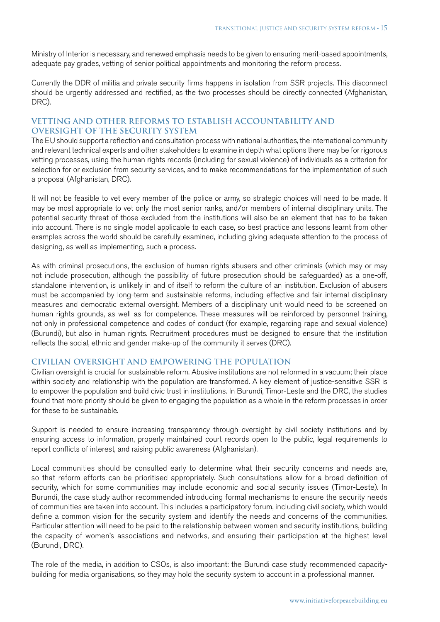Ministry of Interior is necessary, and renewed emphasis needs to be given to ensuring merit-based appointments, adequate pay grades, vetting of senior political appointments and monitoring the reform process.

Currently the DDR of militia and private security firms happens in isolation from SSR projects. This disconnect should be urgently addressed and rectified, as the two processes should be directly connected (Afghanistan, DRC).

#### **Vetting and other reforms to establish accountability and oversight of the security system**

The EU should support a reflection and consultation process with national authorities, the international community and relevant technical experts and other stakeholders to examine in depth what options there may be for rigorous vetting processes, using the human rights records (including for sexual violence) of individuals as a criterion for selection for or exclusion from security services, and to make recommendations for the implementation of such a proposal (Afghanistan, DRC).

It will not be feasible to vet every member of the police or army, so strategic choices will need to be made. It may be most appropriate to vet only the most senior ranks, and/or members of internal disciplinary units. The potential security threat of those excluded from the institutions will also be an element that has to be taken into account. There is no single model applicable to each case, so best practice and lessons learnt from other examples across the world should be carefully examined, including giving adequate attention to the process of designing, as well as implementing, such a process.

As with criminal prosecutions, the exclusion of human rights abusers and other criminals (which may or may not include prosecution, although the possibility of future prosecution should be safeguarded) as a one-off, standalone intervention, is unlikely in and of itself to reform the culture of an institution. Exclusion of abusers must be accompanied by long-term and sustainable reforms, including effective and fair internal disciplinary measures and democratic external oversight. Members of a disciplinary unit would need to be screened on human rights grounds, as well as for competence. These measures will be reinforced by personnel training, not only in professional competence and codes of conduct (for example, regarding rape and sexual violence) (Burundi), but also in human rights. Recruitment procedures must be designed to ensure that the institution reflects the social, ethnic and gender make-up of the community it serves (DRC).

#### **Civilian oversight and empowering the population**

Civilian oversight is crucial for sustainable reform. Abusive institutions are not reformed in a vacuum; their place within society and relationship with the population are transformed. A key element of justice-sensitive SSR is to empower the population and build civic trust in institutions. In Burundi, Timor-Leste and the DRC, the studies found that more priority should be given to engaging the population as a whole in the reform processes in order for these to be sustainable.

Support is needed to ensure increasing transparency through oversight by civil society institutions and by ensuring access to information, properly maintained court records open to the public, legal requirements to report conflicts of interest, and raising public awareness (Afghanistan).

Local communities should be consulted early to determine what their security concerns and needs are, so that reform efforts can be prioritised appropriately. Such consultations allow for a broad definition of security, which for some communities may include economic and social security issues (Timor-Leste). In Burundi, the case study author recommended introducing formal mechanisms to ensure the security needs of communities are taken into account. This includes a participatory forum, including civil society, which would define a common vision for the security system and identify the needs and concerns of the communities. Particular attention will need to be paid to the relationship between women and security institutions, building the capacity of women's associations and networks, and ensuring their participation at the highest level (Burundi, DRC).

The role of the media, in addition to CSOs, is also important: the Burundi case study recommended capacitybuilding for media organisations, so they may hold the security system to account in a professional manner.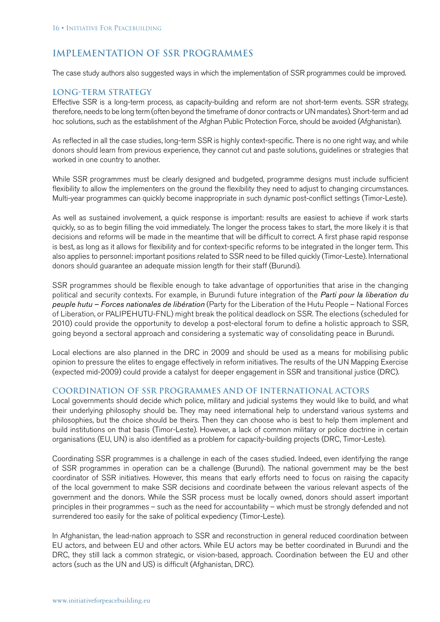### **Implementation of SSR Programmes**

The case study authors also suggested ways in which the implementation of SSR programmes could be improved.

#### **Long-term strategy**

Effective SSR is a long-term process, as capacity-building and reform are not short-term events. SSR strategy, therefore, needs to be long term (often beyond the timeframe of donor contracts or UN mandates). Short-term and ad hoc solutions, such as the establishment of the Afghan Public Protection Force, should be avoided (Afghanistan).

As reflected in all the case studies, long-term SSR is highly context-specific. There is no one right way, and while donors should learn from previous experience, they cannot cut and paste solutions, guidelines or strategies that worked in one country to another.

While SSR programmes must be clearly designed and budgeted, programme designs must include sufficient flexibility to allow the implementers on the ground the flexibility they need to adjust to changing circumstances. Multi-year programmes can quickly become inappropriate in such dynamic post-conflict settings (Timor-Leste).

As well as sustained involvement, a quick response is important: results are easiest to achieve if work starts quickly, so as to begin filling the void immediately. The longer the process takes to start, the more likely it is that decisions and reforms will be made in the meantime that will be difficult to correct. A first phase rapid response is best, as long as it allows for flexibility and for context-specific reforms to be integrated in the longer term. This also applies to personnel: important positions related to SSR need to be filled quickly (Timor-Leste). International donors should guarantee an adequate mission length for their staff (Burundi).

SSR programmes should be flexible enough to take advantage of opportunities that arise in the changing political and security contexts. For example, in Burundi future integration of the *Parti pour la liberation du peuple hutu – Forces nationales de libération* (Party for the Liberation of the Hutu People – National Forces of Liberation, or PALIPEHUTU-FNL) might break the political deadlock on SSR. The elections (scheduled for 2010) could provide the opportunity to develop a post-electoral forum to define a holistic approach to SSR, going beyond a sectoral approach and considering a systematic way of consolidating peace in Burundi.

Local elections are also planned in the DRC in 2009 and should be used as a means for mobilising public opinion to pressure the elites to engage effectively in reform initiatives. The results of the UN Mapping Exercise (expected mid-2009) could provide a catalyst for deeper engagement in SSR and transitional justice (DRC).

#### **Coordination of SSR programmes and of international actors**

Local governments should decide which police, military and judicial systems they would like to build, and what their underlying philosophy should be. They may need international help to understand various systems and philosophies, but the choice should be theirs. Then they can choose who is best to help them implement and build institutions on that basis (Timor-Leste). However, a lack of common military or police doctrine in certain organisations (EU, UN) is also identified as a problem for capacity-building projects (DRC, Timor-Leste).

Coordinating SSR programmes is a challenge in each of the cases studied. Indeed, even identifying the range of SSR programmes in operation can be a challenge (Burundi). The national government may be the best coordinator of SSR initiatives. However, this means that early efforts need to focus on raising the capacity of the local government to make SSR decisions and coordinate between the various relevant aspects of the government and the donors. While the SSR process must be locally owned, donors should assert important principles in their programmes – such as the need for accountability – which must be strongly defended and not surrendered too easily for the sake of political expediency (Timor-Leste).

In Afghanistan, the lead-nation approach to SSR and reconstruction in general reduced coordination between EU actors, and between EU and other actors. While EU actors may be better coordinated in Burundi and the DRC, they still lack a common strategic, or vision-based, approach. Coordination between the EU and other actors (such as the UN and US) is difficult (Afghanistan, DRC).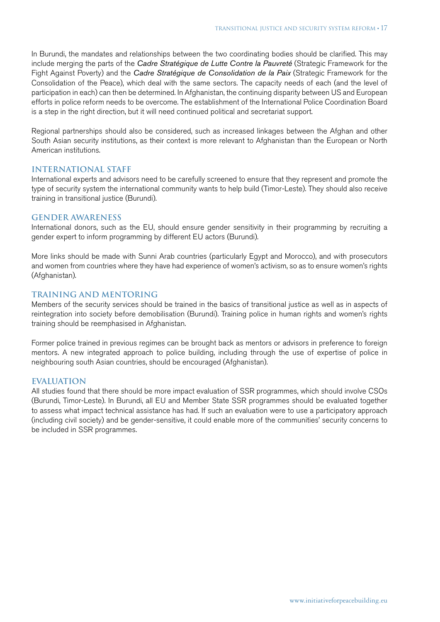In Burundi, the mandates and relationships between the two coordinating bodies should be clarified. This may include merging the parts of the *Cadre Stratégique de Lutte Contre la Pauvreté* (Strategic Framework for the Fight Against Poverty) and the *Cadre Stratégique de Consolidation de la Paix* (Strategic Framework for the Consolidation of the Peace), which deal with the same sectors. The capacity needs of each (and the level of participation in each) can then be determined. In Afghanistan, the continuing disparity between US and European efforts in police reform needs to be overcome. The establishment of the International Police Coordination Board is a step in the right direction, but it will need continued political and secretariat support.

Regional partnerships should also be considered, such as increased linkages between the Afghan and other South Asian security institutions, as their context is more relevant to Afghanistan than the European or North American institutions.

#### **International staff**

International experts and advisors need to be carefully screened to ensure that they represent and promote the type of security system the international community wants to help build (Timor-Leste). They should also receive training in transitional justice (Burundi).

#### **Gender awareness**

International donors, such as the EU, should ensure gender sensitivity in their programming by recruiting a gender expert to inform programming by different EU actors (Burundi).

More links should be made with Sunni Arab countries (particularly Egypt and Morocco), and with prosecutors and women from countries where they have had experience of women's activism, so as to ensure women's rights (Afghanistan).

#### **Training and mentoring**

Members of the security services should be trained in the basics of transitional justice as well as in aspects of reintegration into society before demobilisation (Burundi). Training police in human rights and women's rights training should be reemphasised in Afghanistan.

Former police trained in previous regimes can be brought back as mentors or advisors in preference to foreign mentors. A new integrated approach to police building, including through the use of expertise of police in neighbouring south Asian countries, should be encouraged (Afghanistan).

#### **Evaluation**

All studies found that there should be more impact evaluation of SSR programmes, which should involve CSOs (Burundi, Timor-Leste). In Burundi, all EU and Member State SSR programmes should be evaluated together to assess what impact technical assistance has had. If such an evaluation were to use a participatory approach (including civil society) and be gender-sensitive, it could enable more of the communities' security concerns to be included in SSR programmes.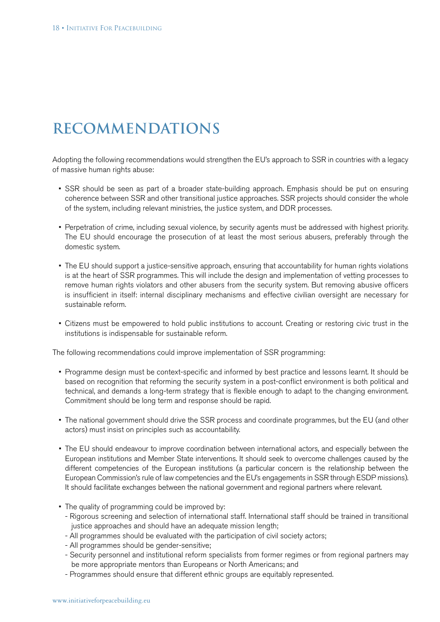### **Recommendations**

Adopting the following recommendations would strengthen the EU's approach to SSR in countries with a legacy of massive human rights abuse:

- • SSR should be seen as part of a broader state-building approach. Emphasis should be put on ensuring coherence between SSR and other transitional justice approaches. SSR projects should consider the whole of the system, including relevant ministries, the justice system, and DDR processes.
- • Perpetration of crime, including sexual violence, by security agents must be addressed with highest priority. The EU should encourage the prosecution of at least the most serious abusers, preferably through the domestic system.
- The EU should support a justice-sensitive approach, ensuring that accountability for human rights violations is at the heart of SSR programmes. This will include the design and implementation of vetting processes to remove human rights violators and other abusers from the security system. But removing abusive officers is insufficient in itself: internal disciplinary mechanisms and effective civilian oversight are necessary for sustainable reform.
- • Citizens must be empowered to hold public institutions to account. Creating or restoring civic trust in the institutions is indispensable for sustainable reform.

The following recommendations could improve implementation of SSR programming:

- Programme design must be context-specific and informed by best practice and lessons learnt. It should be based on recognition that reforming the security system in a post-conflict environment is both political and technical, and demands a long-term strategy that is flexible enough to adapt to the changing environment. Commitment should be long term and response should be rapid.
- The national government should drive the SSR process and coordinate programmes, but the EU (and other actors) must insist on principles such as accountability.
- The EU should endeavour to improve coordination between international actors, and especially between the European institutions and Member State interventions. It should seek to overcome challenges caused by the different competencies of the European institutions (a particular concern is the relationship between the European Commission's rule of law competencies and the EU's engagements in SSR through ESDP missions). It should facilitate exchanges between the national government and regional partners where relevant.
- The quality of programming could be improved by:
	- Rigorous screening and selection of international staff. International staff should be trained in transitional justice approaches and should have an adequate mission length;
	- All programmes should be evaluated with the participation of civil society actors;
	- All programmes should be gender-sensitive;
	- Security personnel and institutional reform specialists from former regimes or from regional partners may be more appropriate mentors than Europeans or North Americans; and
	- Programmes should ensure that different ethnic groups are equitably represented.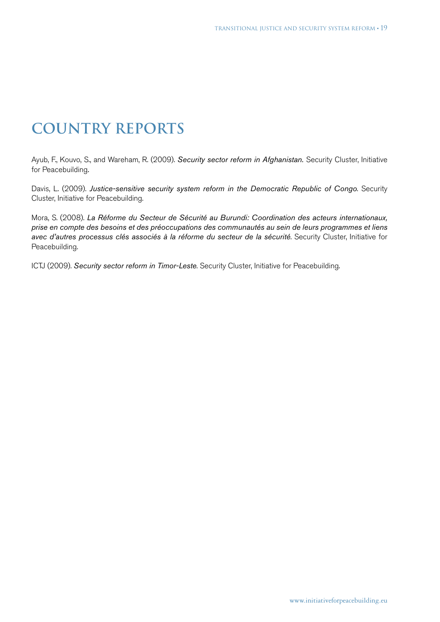# **Country Reports**

Ayub, F., Kouvo, S., and Wareham, R. (2009). *Security sector reform in Afghanistan.* Security Cluster, Initiative for Peacebuilding*.*

Davis, L. (2009). *Justice-sensitive security system reform in the Democratic Republic of Congo*. Security Cluster, Initiative for Peacebuilding.

Mora, S. (2008). *La Réforme du Secteur de Sécurité au Burundi: Coordination des acteurs internationaux, prise en compte des besoins et des préoccupations des communautés au sein de leurs programmes et liens avec d'autres processus clés associés à la réforme du secteur de la sécurité*. Security Cluster, Initiative for Peacebuilding.

ICTJ (2009). *Security sector reform in Timor-Leste*. Security Cluster, Initiative for Peacebuilding.